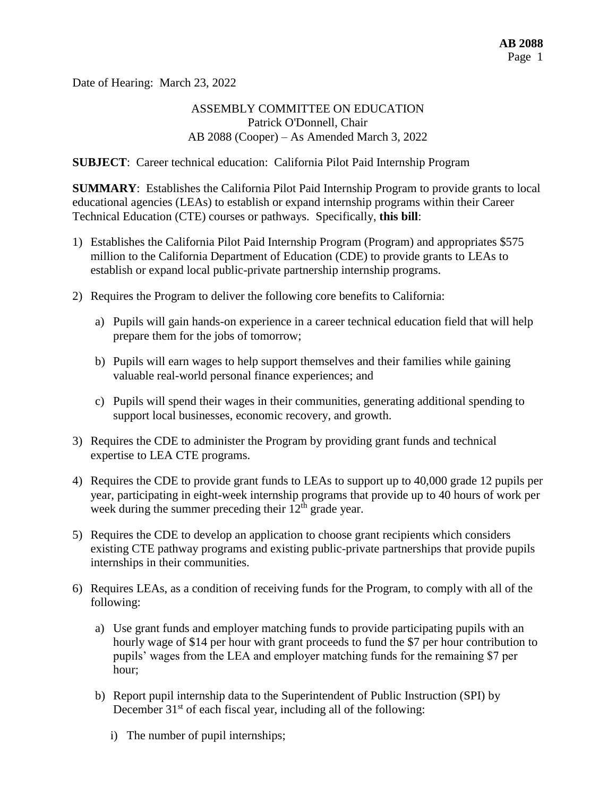Date of Hearing: March 23, 2022

# ASSEMBLY COMMITTEE ON EDUCATION Patrick O'Donnell, Chair AB 2088 (Cooper) – As Amended March 3, 2022

**SUBJECT**: Career technical education: California Pilot Paid Internship Program

**SUMMARY**: Establishes the California Pilot Paid Internship Program to provide grants to local educational agencies (LEAs) to establish or expand internship programs within their Career Technical Education (CTE) courses or pathways. Specifically, **this bill**:

- 1) Establishes the California Pilot Paid Internship Program (Program) and appropriates \$575 million to the California Department of Education (CDE) to provide grants to LEAs to establish or expand local public-private partnership internship programs.
- 2) Requires the Program to deliver the following core benefits to California:
	- a) Pupils will gain hands-on experience in a career technical education field that will help prepare them for the jobs of tomorrow;
	- b) Pupils will earn wages to help support themselves and their families while gaining valuable real-world personal finance experiences; and
	- c) Pupils will spend their wages in their communities, generating additional spending to support local businesses, economic recovery, and growth.
- 3) Requires the CDE to administer the Program by providing grant funds and technical expertise to LEA CTE programs.
- 4) Requires the CDE to provide grant funds to LEAs to support up to 40,000 grade 12 pupils per year, participating in eight-week internship programs that provide up to 40 hours of work per week during the summer preceding their  $12<sup>th</sup>$  grade year.
- 5) Requires the CDE to develop an application to choose grant recipients which considers existing CTE pathway programs and existing public-private partnerships that provide pupils internships in their communities.
- 6) Requires LEAs, as a condition of receiving funds for the Program, to comply with all of the following:
	- a) Use grant funds and employer matching funds to provide participating pupils with an hourly wage of \$14 per hour with grant proceeds to fund the \$7 per hour contribution to pupils' wages from the LEA and employer matching funds for the remaining \$7 per hour;
	- b) Report pupil internship data to the Superintendent of Public Instruction (SPI) by December  $31<sup>st</sup>$  of each fiscal year, including all of the following:
		- i) The number of pupil internships;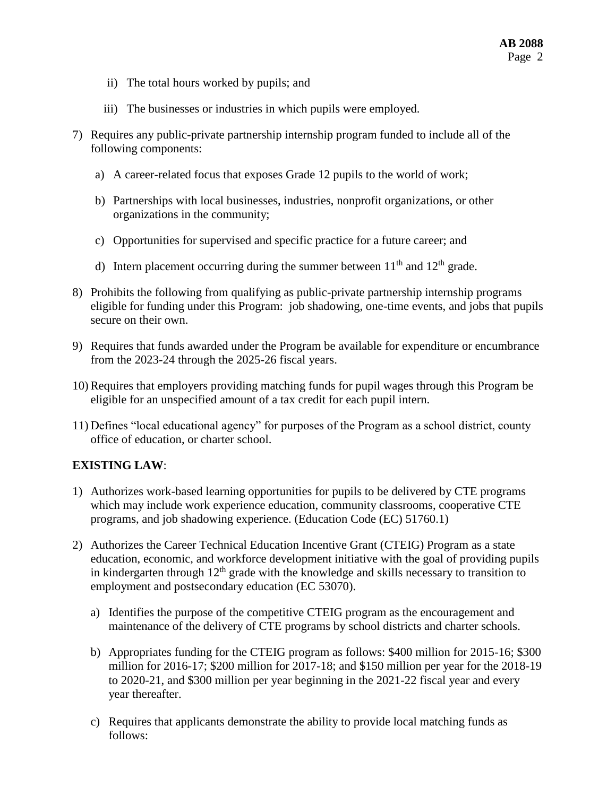- ii) The total hours worked by pupils; and
- iii) The businesses or industries in which pupils were employed.
- 7) Requires any public-private partnership internship program funded to include all of the following components:
	- a) A career-related focus that exposes Grade 12 pupils to the world of work;
	- b) Partnerships with local businesses, industries, nonprofit organizations, or other organizations in the community;
	- c) Opportunities for supervised and specific practice for a future career; and
	- d) Intern placement occurring during the summer between  $11<sup>th</sup>$  and  $12<sup>th</sup>$  grade.
- 8) Prohibits the following from qualifying as public-private partnership internship programs eligible for funding under this Program: job shadowing, one-time events, and jobs that pupils secure on their own.
- 9) Requires that funds awarded under the Program be available for expenditure or encumbrance from the 2023-24 through the 2025-26 fiscal years.
- 10) Requires that employers providing matching funds for pupil wages through this Program be eligible for an unspecified amount of a tax credit for each pupil intern.
- 11) Defines "local educational agency" for purposes of the Program as a school district, county office of education, or charter school.

#### **EXISTING LAW**:

- 1) Authorizes work-based learning opportunities for pupils to be delivered by CTE programs which may include work experience education, community classrooms, cooperative CTE programs, and job shadowing experience. (Education Code (EC) 51760.1)
- 2) Authorizes the Career Technical Education Incentive Grant (CTEIG) Program as a state education, economic, and workforce development initiative with the goal of providing pupils in kindergarten through  $12<sup>th</sup>$  grade with the knowledge and skills necessary to transition to employment and postsecondary education (EC 53070).
	- a) Identifies the purpose of the competitive CTEIG program as the encouragement and maintenance of the delivery of CTE programs by school districts and charter schools.
	- b) Appropriates funding for the CTEIG program as follows: \$400 million for 2015-16; \$300 million for 2016-17; \$200 million for 2017-18; and \$150 million per year for the 2018-19 to 2020-21, and \$300 million per year beginning in the 2021-22 fiscal year and every year thereafter.
	- c) Requires that applicants demonstrate the ability to provide local matching funds as follows: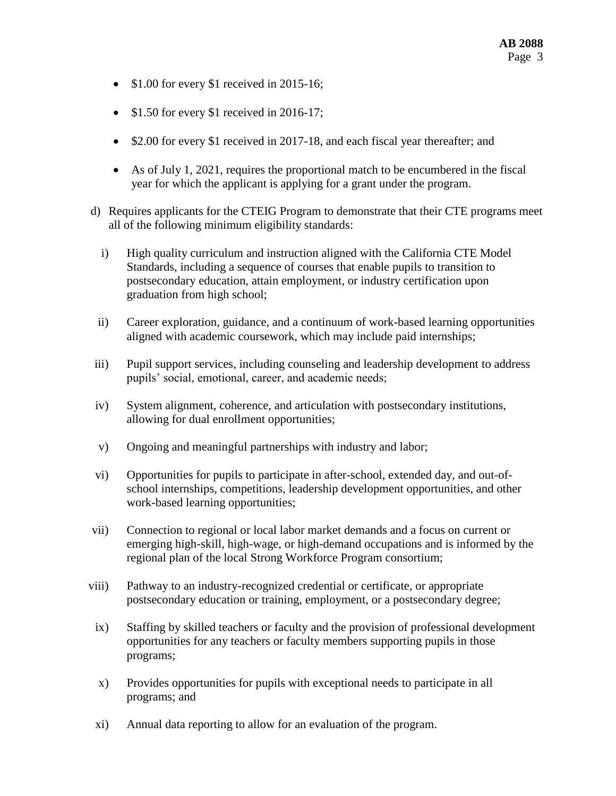- $\bullet$  \$1.00 for every \$1 received in 2015-16;
- \$1.50 for every \$1 received in 2016-17;
- \$2.00 for every \$1 received in 2017-18, and each fiscal year thereafter; and
- As of July 1, 2021, requires the proportional match to be encumbered in the fiscal year for which the applicant is applying for a grant under the program.
- d) Requires applicants for the CTEIG Program to demonstrate that their CTE programs meet all of the following minimum eligibility standards:
	- i) High quality curriculum and instruction aligned with the California CTE Model Standards, including a sequence of courses that enable pupils to transition to postsecondary education, attain employment, or industry certification upon graduation from high school;
	- ii) Career exploration, guidance, and a continuum of work-based learning opportunities aligned with academic coursework, which may include paid internships;
- iii) Pupil support services, including counseling and leadership development to address pupils' social, emotional, career, and academic needs;
- iv) System alignment, coherence, and articulation with postsecondary institutions, allowing for dual enrollment opportunities;
- v) Ongoing and meaningful partnerships with industry and labor;
- vi) Opportunities for pupils to participate in after-school, extended day, and out-ofschool internships, competitions, leadership development opportunities, and other work-based learning opportunities;
- vii) Connection to regional or local labor market demands and a focus on current or emerging high-skill, high-wage, or high-demand occupations and is informed by the regional plan of the local Strong Workforce Program consortium;
- viii) Pathway to an industry-recognized credential or certificate, or appropriate postsecondary education or training, employment, or a postsecondary degree;
- ix) Staffing by skilled teachers or faculty and the provision of professional development opportunities for any teachers or faculty members supporting pupils in those programs;
- x) Provides opportunities for pupils with exceptional needs to participate in all programs; and
- xi) Annual data reporting to allow for an evaluation of the program.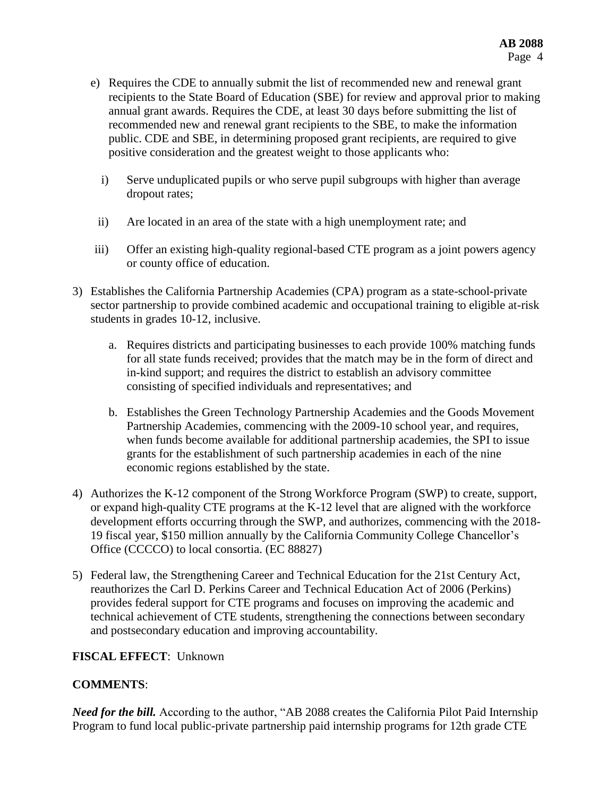- e) Requires the CDE to annually submit the list of recommended new and renewal grant recipients to the State Board of Education (SBE) for review and approval prior to making annual grant awards. Requires the CDE, at least 30 days before submitting the list of recommended new and renewal grant recipients to the SBE, to make the information public. CDE and SBE, in determining proposed grant recipients, are required to give positive consideration and the greatest weight to those applicants who:
	- i) Serve unduplicated pupils or who serve pupil subgroups with higher than average dropout rates;
- ii) Are located in an area of the state with a high unemployment rate; and
- iii) Offer an existing high-quality regional-based CTE program as a joint powers agency or county office of education.
- 3) Establishes the California Partnership Academies (CPA) program as a state-school-private sector partnership to provide combined academic and occupational training to eligible at-risk students in grades 10-12, inclusive.
	- a. Requires districts and participating businesses to each provide 100% matching funds for all state funds received; provides that the match may be in the form of direct and in-kind support; and requires the district to establish an advisory committee consisting of specified individuals and representatives; and
	- b. Establishes the Green Technology Partnership Academies and the Goods Movement Partnership Academies, commencing with the 2009-10 school year, and requires, when funds become available for additional partnership academies, the SPI to issue grants for the establishment of such partnership academies in each of the nine economic regions established by the state.
- 4) Authorizes the K-12 component of the Strong Workforce Program (SWP) to create, support, or expand high-quality CTE programs at the K-12 level that are aligned with the workforce development efforts occurring through the SWP, and authorizes, commencing with the 2018- 19 fiscal year, \$150 million annually by the California Community College Chancellor's Office (CCCCO) to local consortia. (EC 88827)
- 5) Federal law, the Strengthening Career and Technical Education for the 21st Century Act, reauthorizes the Carl D. Perkins Career and Technical Education Act of 2006 (Perkins) provides federal support for CTE programs and focuses on improving the academic and technical achievement of CTE students, strengthening the connections between secondary and postsecondary education and improving accountability.

# **FISCAL EFFECT**: Unknown

#### **COMMENTS**:

*Need for the bill.* According to the author, "AB 2088 creates the California Pilot Paid Internship Program to fund local public-private partnership paid internship programs for 12th grade CTE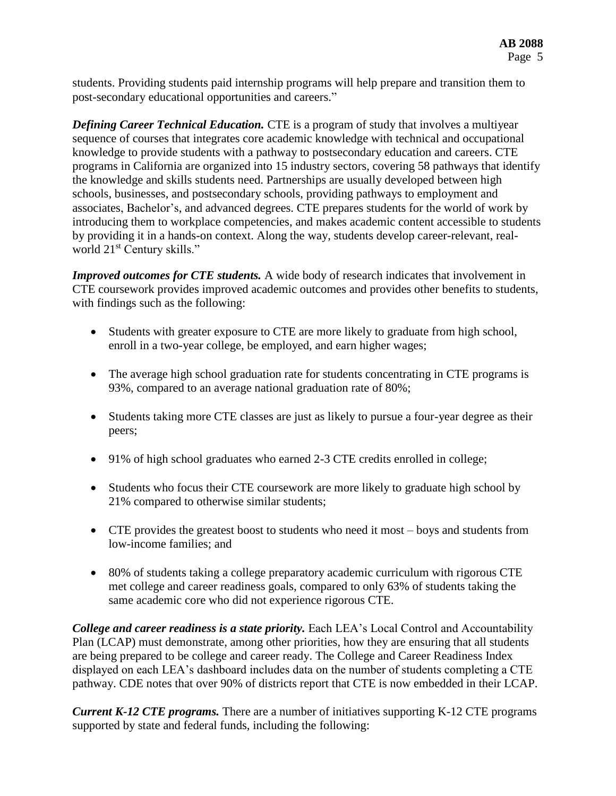students. Providing students paid internship programs will help prepare and transition them to post-secondary educational opportunities and careers."

*Defining Career Technical Education.* CTE is a program of study that involves a multiyear sequence of courses that integrates core academic knowledge with technical and occupational knowledge to provide students with a pathway to postsecondary education and careers. CTE programs in California are organized into 15 industry sectors, covering 58 pathways that identify the knowledge and skills students need. Partnerships are usually developed between high schools, businesses, and postsecondary schools, providing pathways to employment and associates, Bachelor's, and advanced degrees. CTE prepares students for the world of work by introducing them to workplace competencies, and makes academic content accessible to students by providing it in a hands-on context. Along the way, students develop career-relevant, realworld 21<sup>st</sup> Century skills."

*Improved outcomes for CTE students.* A wide body of research indicates that involvement in CTE coursework provides improved academic outcomes and provides other benefits to students, with findings such as the following:

- Students with greater exposure to CTE are more likely to graduate from high school, enroll in a two-year college, be employed, and earn higher wages;
- The average high school graduation rate for students concentrating in CTE programs is 93%, compared to an average national graduation rate of 80%;
- Students taking more CTE classes are just as likely to pursue a four-year degree as their peers;
- 91% of high school graduates who earned 2-3 CTE credits enrolled in college;
- Students who focus their CTE coursework are more likely to graduate high school by 21% compared to otherwise similar students;
- CTE provides the greatest boost to students who need it most boys and students from low-income families; and
- 80% of students taking a college preparatory academic curriculum with rigorous CTE met college and career readiness goals, compared to only 63% of students taking the same academic core who did not experience rigorous CTE.

*College and career readiness is a state priority.* Each LEA's Local Control and Accountability Plan (LCAP) must demonstrate, among other priorities, how they are ensuring that all students are being prepared to be college and career ready. The College and Career Readiness Index displayed on each LEA's dashboard includes data on the number of students completing a CTE pathway. CDE notes that over 90% of districts report that CTE is now embedded in their LCAP.

*Current K-12 CTE programs.* There are a number of initiatives supporting K-12 CTE programs supported by state and federal funds, including the following: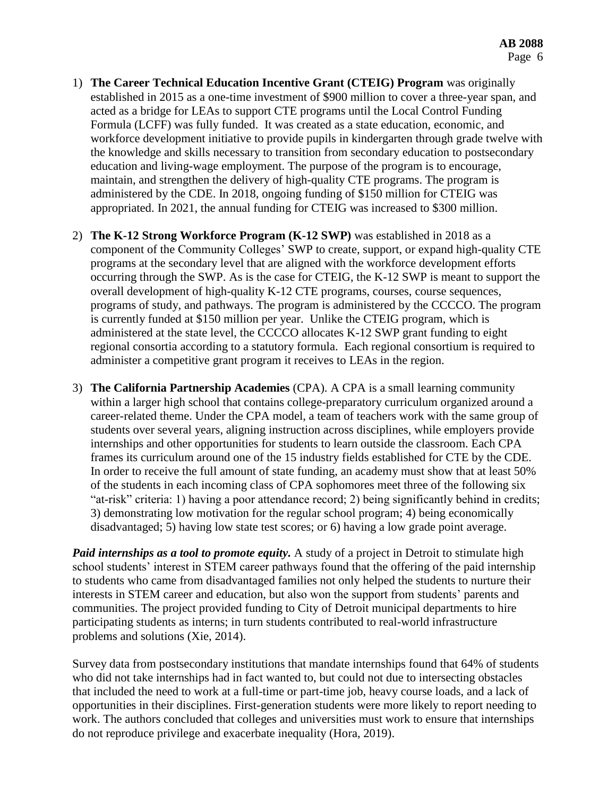- 1) **The Career Technical Education Incentive Grant (CTEIG) Program** was originally established in 2015 as a one-time investment of \$900 million to cover a three-year span, and acted as a bridge for LEAs to support CTE programs until the Local Control Funding Formula (LCFF) was fully funded. It was created as a state education, economic, and workforce development initiative to provide pupils in kindergarten through grade twelve with the knowledge and skills necessary to transition from secondary education to postsecondary education and living-wage employment. The purpose of the program is to encourage, maintain, and strengthen the delivery of high-quality CTE programs. The program is administered by the CDE. In 2018, ongoing funding of \$150 million for CTEIG was appropriated. In 2021, the annual funding for CTEIG was increased to \$300 million.
- 2) **The K-12 Strong Workforce Program (K-12 SWP)** was established in 2018 as a component of the Community Colleges' SWP to create, support, or expand high-quality CTE programs at the secondary level that are aligned with the workforce development efforts occurring through the SWP. As is the case for CTEIG, the K-12 SWP is meant to support the overall development of high-quality K-12 CTE programs, courses, course sequences, programs of study, and pathways. The program is administered by the CCCCO. The program is currently funded at \$150 million per year. Unlike the CTEIG program, which is administered at the state level, the CCCCO allocates K-12 SWP grant funding to eight regional consortia according to a statutory formula. Each regional consortium is required to administer a competitive grant program it receives to LEAs in the region.
- 3) **The California Partnership Academies** (CPA). A CPA is a small learning community within a larger high school that contains college-preparatory curriculum organized around a career-related theme. Under the CPA model, a team of teachers work with the same group of students over several years, aligning instruction across disciplines, while employers provide internships and other opportunities for students to learn outside the classroom. Each CPA frames its curriculum around one of the 15 industry fields established for CTE by the CDE. In order to receive the full amount of state funding, an academy must show that at least 50% of the students in each incoming class of CPA sophomores meet three of the following six "at-risk" criteria: 1) having a poor attendance record; 2) being significantly behind in credits; 3) demonstrating low motivation for the regular school program; 4) being economically disadvantaged; 5) having low state test scores; or 6) having a low grade point average.

*Paid internships as a tool to promote equity.* A study of a project in Detroit to stimulate high school students' interest in STEM career pathways found that the offering of the paid internship to students who came from disadvantaged families not only helped the students to nurture their interests in STEM career and education, but also won the support from students' parents and communities. The project provided funding to City of Detroit municipal departments to hire participating students as interns; in turn students contributed to real-world infrastructure problems and solutions (Xie, 2014).

Survey data from postsecondary institutions that mandate internships found that 64% of students who did not take internships had in fact wanted to, but could not due to intersecting obstacles that included the need to work at a full-time or part-time job, heavy course loads, and a lack of opportunities in their disciplines. First-generation students were more likely to report needing to work. The authors concluded that colleges and universities must work to ensure that internships do not reproduce privilege and exacerbate inequality (Hora, 2019).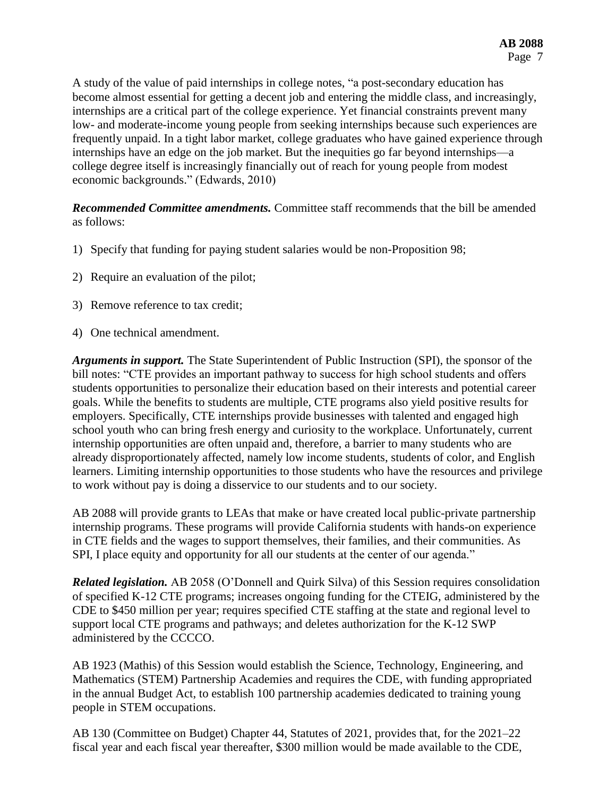A study of the value of paid internships in college notes, "a post-secondary education has become almost essential for getting a decent job and entering the middle class, and increasingly, internships are a critical part of the college experience. Yet financial constraints prevent many low- and moderate-income young people from seeking internships because such experiences are frequently unpaid. In a tight labor market, college graduates who have gained experience through internships have an edge on the job market. But the inequities go far beyond internships—a college degree itself is increasingly financially out of reach for young people from modest economic backgrounds." (Edwards, 2010)

*Recommended Committee amendments.* Committee staff recommends that the bill be amended as follows:

- 1) Specify that funding for paying student salaries would be non-Proposition 98;
- 2) Require an evaluation of the pilot;
- 3) Remove reference to tax credit;
- 4) One technical amendment.

*Arguments in support.* The State Superintendent of Public Instruction (SPI), the sponsor of the bill notes: "CTE provides an important pathway to success for high school students and offers students opportunities to personalize their education based on their interests and potential career goals. While the benefits to students are multiple, CTE programs also yield positive results for employers. Specifically, CTE internships provide businesses with talented and engaged high school youth who can bring fresh energy and curiosity to the workplace. Unfortunately, current internship opportunities are often unpaid and, therefore, a barrier to many students who are already disproportionately affected, namely low income students, students of color, and English learners. Limiting internship opportunities to those students who have the resources and privilege to work without pay is doing a disservice to our students and to our society.

AB 2088 will provide grants to LEAs that make or have created local public-private partnership internship programs. These programs will provide California students with hands-on experience in CTE fields and the wages to support themselves, their families, and their communities. As SPI, I place equity and opportunity for all our students at the center of our agenda."

*Related legislation.* AB 2058 (O'Donnell and Quirk Silva) of this Session requires consolidation of specified K-12 CTE programs; increases ongoing funding for the CTEIG, administered by the CDE to \$450 million per year; requires specified CTE staffing at the state and regional level to support local CTE programs and pathways; and deletes authorization for the K-12 SWP administered by the CCCCO.

AB 1923 (Mathis) of this Session would establish the Science, Technology, Engineering, and Mathematics (STEM) Partnership Academies and requires the CDE, with funding appropriated in the annual Budget Act, to establish 100 partnership academies dedicated to training young people in STEM occupations.

AB 130 (Committee on Budget) Chapter 44, Statutes of 2021, provides that, for the 2021–22 fiscal year and each fiscal year thereafter, \$300 million would be made available to the CDE,